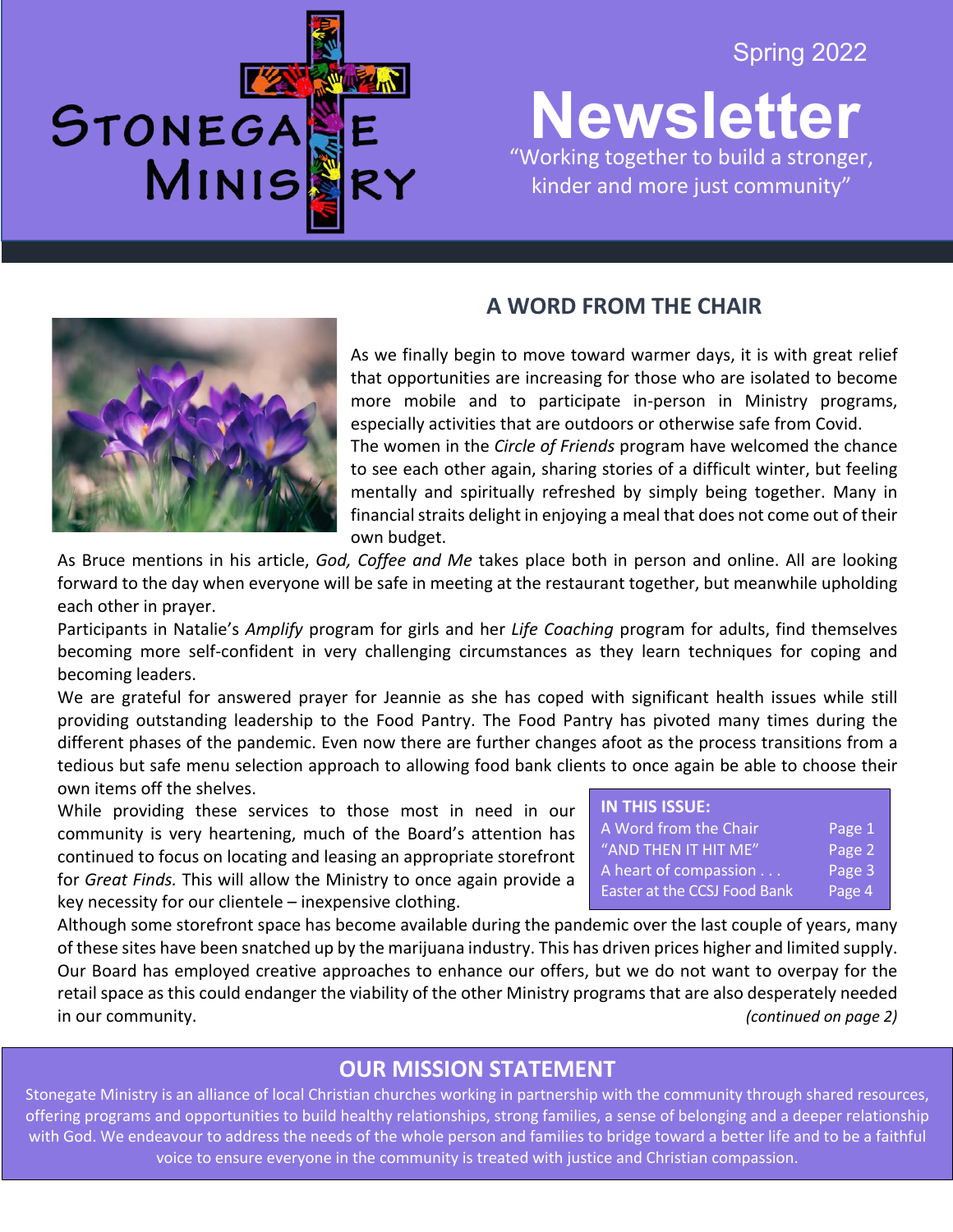STONEGA MINIS

## Spring 2022

**Newsletter** 2020 "Working together to build a stronger, kinder and more just community"

֦֘

# **A WORD FROM THE CHAIR**

As we finally begin to move toward warmer days, it is with great relief that opportunities are increasing for those who are isolated to become more mobile and to participate in-person in Ministry programs, especially activities that are outdoors or otherwise safe from Covid. The women in the *Circle of Friends* program have welcomed the chance

to see each other again, sharing stories of a difficult winter, but feeling mentally and spiritually refreshed by simply being together. Many in financial straits delight in enjoying a meal that does not come out of their own budget.

As Bruce mentions in his article, *God, Coffee and Me* takes place both in person and online. All are looking forward to the day when everyone will be safe in meeting at the restaurant together, but meanwhile upholding each other in prayer.

Participants in Natalie's *Amplify* program for girls and her *Life Coaching* program for adults, find themselves becoming more self-confident in very challenging circumstances as they learn techniques for coping and becoming leaders.

We are grateful for answered prayer for Jeannie as she has coped with significant health issues while still providing outstanding leadership to the Food Pantry. The Food Pantry has pivoted many times during the different phases of the pandemic. Even now there are further changes afoot as the process transitions from a tedious but safe menu selection approach to allowing food bank clients to once again be able to choose their own items off the shelves.

While providing these services to those most in need in our community is very heartening, much of the Board's attention has continued to focus on locating and leasing an appropriate storefront for *Great Finds.* This will allow the Ministry to once again provide a key necessity for our clientele – inexpensive clothing.

| IN THIS ISSUE:               |        |
|------------------------------|--------|
| A Word from the Chair        | Page 1 |
| "AND THEN IT HIT ME"         | Page 2 |
| A heart of compassion        | Page 3 |
| Easter at the CCSJ Food Bank | Page 4 |

Although some storefront space has become available during the pandemic over the last couple of years, many of these sites have been snatched up by the marijuana industry. This has driven prices higher and limited supply. Our Board has employed creative approaches to enhance our offers, but we do not want to overpay for the retail space as this could endanger the viability of the other Ministry programs that are also desperately needed in our community. *(continued on page 2)*

# **OUR MISSION STATEMENT**

offering programs and opportunities to build healthy relationships, strong families, a sense of belonging and a deeper relationship<br>offering programs and opportunities to build healthy relationships, strong families, a sen Stonegate Ministry is an alliance of local Christian churches working in partnership with the community through shared resources, with God. We endeavour to address the needs of the whole person and families to bridge toward a better life and to be a faithful voice to ensure everyone in the community is treated with justice and Christian compassion.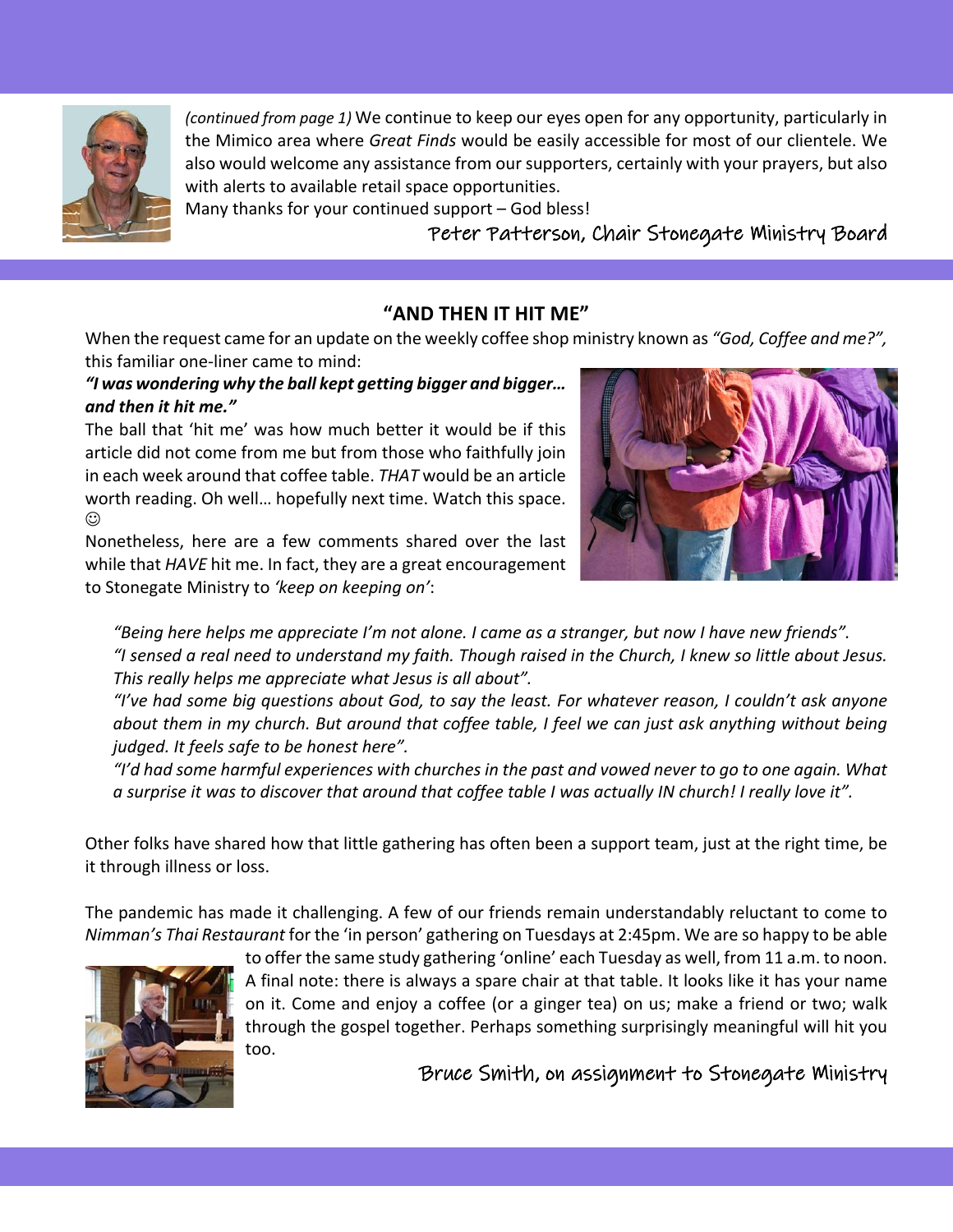

*(continued from page 1)* We continue to keep our eyes open for any opportunity, particularly in the Mimico area where *Great Finds* would be easily accessible for most of our clientele. We also would welcome any assistance from our supporters, certainly with your prayers, but also with alerts to available retail space opportunities.

Many thanks for your continued support – God bless!

Peter Patterson, Chair Stonegate Ministry Board

#### **"AND THEN IT HIT ME"**

When the request came for an update on the weekly coffee shop ministry known as *"God, Coffee and me?",* this familiar one-liner came to mind:

#### *"I was wondering why the ball kept getting bigger and bigger… and then it hit me."*

The ball that 'hit me' was how much better it would be if this article did not come from me but from those who faithfully join in each week around that coffee table. *THAT* would be an article worth reading. Oh well… hopefully next time. Watch this space.  $\odot$ 

Nonetheless, here are a few comments shared over the last while that *HAVE* hit me. In fact, they are a great encouragement to Stonegate Ministry to *'keep on keeping on'*:



*"Being here helps me appreciate I'm not alone. I came as a stranger, but now I have new friends". "I sensed a real need to understand my faith. Though raised in the Church, I knew so little about Jesus. This really helps me appreciate what Jesus is all about".*

*"I've had some big questions about God, to say the least. For whatever reason, I couldn't ask anyone about them in my church. But around that coffee table, I feel we can just ask anything without being judged. It feels safe to be honest here".*

*"I'd had some harmful experiences with churches in the past and vowed never to go to one again. What a surprise it was to discover that around that coffee table I was actually IN church! I really love it".*

Other folks have shared how that little gathering has often been a support team, just at the right time, be it through illness or loss.

The pandemic has made it challenging. A few of our friends remain understandably reluctant to come to *Nimman's Thai Restaurant* for the 'in person' gathering on Tuesdays at 2:45pm. We are so happy to be able



to offer the same study gathering 'online' each Tuesday as well, from 11 a.m. to noon. A final note: there is always a spare chair at that table. It looks like it has your name on it. Come and enjoy a coffee (or a ginger tea) on us; make a friend or two; walk through the gospel together. Perhaps something surprisingly meaningful will hit you too.

Bruce Smith, on assignment to Stonegate Ministry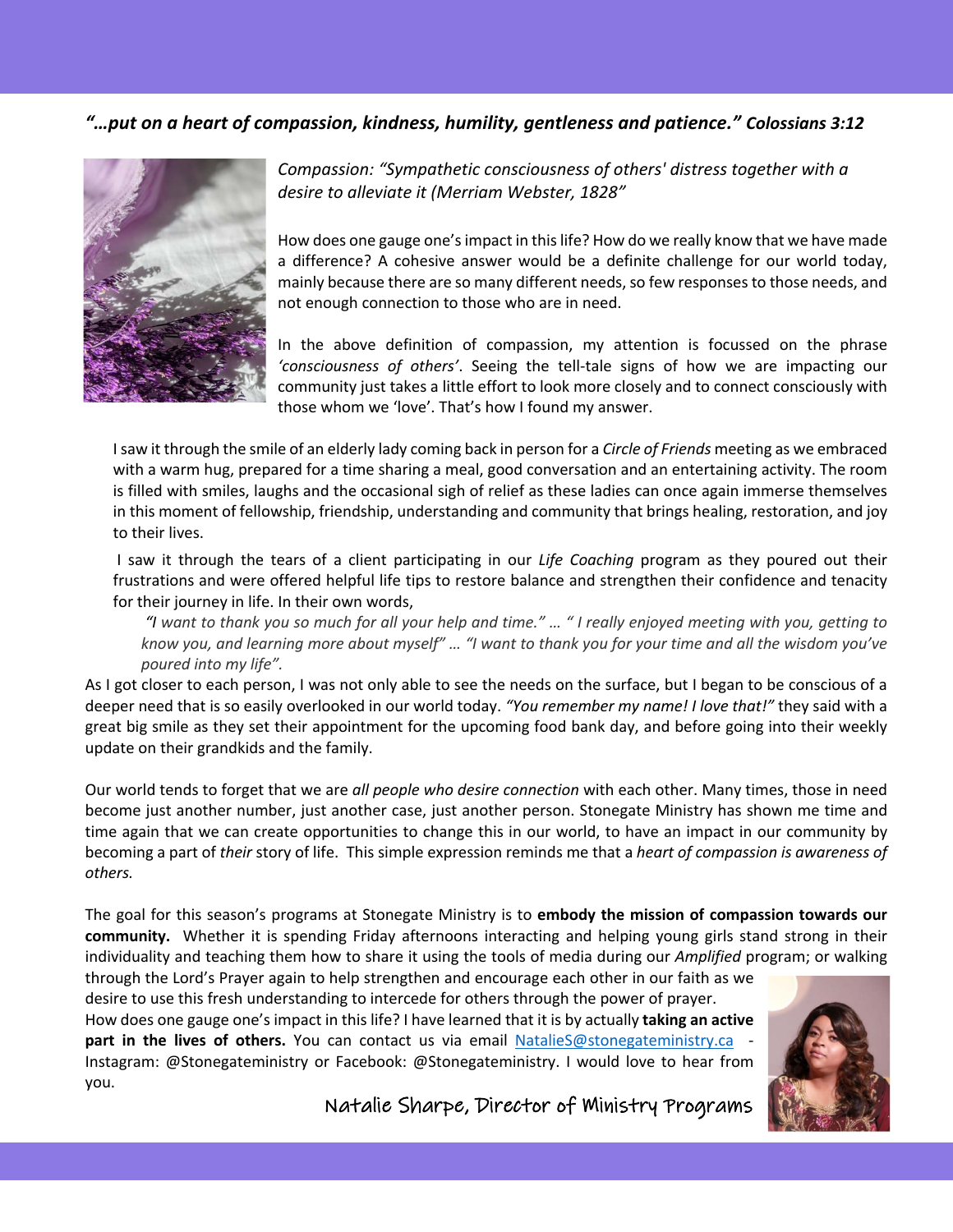#### *"…put on a heart of compassion, kindness, humility, gentleness and patience." Colossians 3:12*



*Compassion: "Sympathetic consciousness of others' distress together with a desire to alleviate it (Merriam Webster, 1828"*

How does one gauge one's impact in this life? How do we really know that we have made a difference? A cohesive answer would be a definite challenge for our world today, mainly because there are so many different needs, so few responses to those needs, and not enough connection to those who are in need.

In the above definition of compassion, my attention is focussed on the phrase *'consciousness of others'*. Seeing the tell-tale signs of how we are impacting our community just takes a little effort to look more closely and to connect consciously with those whom we 'love'. That's how I found my answer.

I saw it through the smile of an elderly lady coming back in person for a *Circle of Friends* meeting as we embraced with a warm hug, prepared for a time sharing a meal, good conversation and an entertaining activity. The room is filled with smiles, laughs and the occasional sigh of relief as these ladies can once again immerse themselves in this moment of fellowship, friendship, understanding and community that brings healing, restoration, and joy to their lives.

I saw it through the tears of a client participating in our *Life Coaching* program as they poured out their frustrations and were offered helpful life tips to restore balance and strengthen their confidence and tenacity for their journey in life. In their own words,

*"I want to thank you so much for all your help and time." … " I really enjoyed meeting with you, getting to know you, and learning more about myself" … "I want to thank you for your time and all the wisdom you've poured into my life".* 

As I got closer to each person, I was not only able to see the needs on the surface, but I began to be conscious of a deeper need that is so easily overlooked in our world today. *"You remember my name! I love that!"* they said with a great big smile as they set their appointment for the upcoming food bank day, and before going into their weekly update on their grandkids and the family.

Our world tends to forget that we are *all people who desire connection* with each other. Many times, those in need become just another number, just another case, just another person. Stonegate Ministry has shown me time and time again that we can create opportunities to change this in our world, to have an impact in our community by becoming a part of *their* story of life. This simple expression reminds me that a *heart of compassion is awareness of others.* 

The goal for this season's programs at Stonegate Ministry is to **embody the mission of compassion towards our community.** Whether it is spending Friday afternoons interacting and helping young girls stand strong in their individuality and teaching them how to share it using the tools of media during our *Amplified* program; or walking

through the Lord's Prayer again to help strengthen and encourage each other in our faith as we desire to use this fresh understanding to intercede for others through the power of prayer. How does one gauge one's impact in this life? I have learned that it is by actually **taking an active part in the lives of others.** You can contact us via email **NatalieS@stonegateministry.ca** Instagram: @Stonegateministry or Facebook: @Stonegateministry. I would love to hear from you.



Natalie Sharpe, Director of Ministry Programs